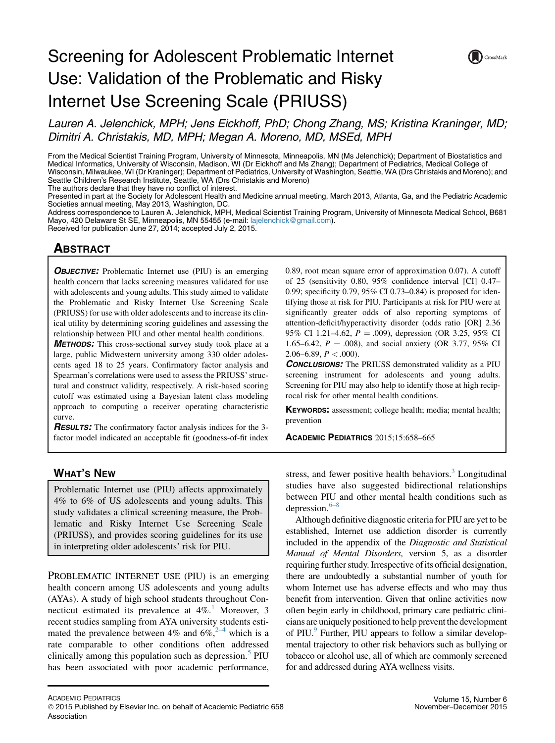# Screening for Adolescent Problematic Internet Use: Validation of the Problematic and Risky Internet Use Screening Scale (PRIUSS)

 $\log_{\text{CrossMark}}$ 

Lauren A. Jelenchick, MPH; Jens Eickhoff, PhD; Chong Zhang, MS; Kristina Kraninger, MD; Dimitri A. Christakis, MD, MPH; Megan A. Moreno, MD, MSEd, MPH

From the Medical Scientist Training Program, University of Minnesota, Minneapolis, MN (Ms Jelenchick); Department of Biostatistics and Medical Informatics, University of Wisconsin, Madison, WI (Dr Eickhoff and Ms Zhang); Department of Pediatrics, Medical College of Wisconsin, Milwaukee, WI (Dr Kraninger); Department of Pediatrics, University of Washington, Seattle, WA (Drs Christakis and Moreno); and Seattle Children's Research Institute, Seattle, WA (Drs Christakis and Moreno)

The authors declare that they have no conflict of interest.

Presented in part at the Society for Adolescent Health and Medicine annual meeting, March 2013, Atlanta, Ga, and the Pediatric Academic Societies annual meeting, May 2013, Washington, DC.

Address correspondence to Lauren A. Jelenchick, MPH, Medical Scientist Training Program, University of Minnesota Medical School, B681 Mayo, 420 Delaware St SE, Minneapolis, MN 55455 (e-mail: [lajelenchick@gmail.com](mailto:lajelenchick@gmail.com)). Received for publication June 27, 2014; accepted July 2, 2015.

# **ABSTRACT** <u>ABSOLUTE:</u>

**OBJECTIVE:** Problematic Internet use (PIU) is an emerging health concern that lacks screening measures validated for use with adolescents and young adults. This study aimed to validate the Problematic and Risky Internet Use Screening Scale (PRIUSS) for use with older adolescents and to increase its clinical utility by determining scoring guidelines and assessing the relationship between PIU and other mental health conditions.

**METHODS:** This cross-sectional survey study took place at a large, public Midwestern university among 330 older adolescents aged 18 to 25 years. Confirmatory factor analysis and Spearman's correlations were used to assess the PRIUSS' structural and construct validity, respectively. A risk-based scoring cutoff was estimated using a Bayesian latent class modeling approach to computing a receiver operating characteristic curve.

**RESULTS:** The confirmatory factor analysis indices for the 3factor model indicated an acceptable fit (goodness-of-fit index 0.89, root mean square error of approximation 0.07). A cutoff of 25 (sensitivity 0.80, 95% confidence interval [CI] 0.47– 0.99; specificity 0.79, 95% CI 0.73–0.84) is proposed for identifying those at risk for PIU. Participants at risk for PIU were at significantly greater odds of also reporting symptoms of attention-deficit/hyperactivity disorder (odds ratio [OR] 2.36 95% CI 1.21–4.62,  $P = .009$ ), depression (OR 3.25, 95% CI 1.65–6.42,  $P = .008$ ), and social anxiety (OR 3.77, 95% CI 2.06–6.89,  $P < .000$ ).

**CONCLUSIONS:** The PRIUSS demonstrated validity as a PIU screening instrument for adolescents and young adults. Screening for PIU may also help to identify those at high reciprocal risk for other mental health conditions.

KEYWORDS: assessment; college health; media; mental health; prevention

ACADEMIC PEDIATRICS 2015;15:658–665

Problematic Internet use (PIU) affects approximately 4% to 6% of US adolescents and young adults. This study validates a clinical screening measure, the Problematic and Risky Internet Use Screening Scale (PRIUSS), and provides scoring guidelines for its use in interpreting older adolescents' risk for PIU.

PROBLEMATIC INTERNET USE (PIU) is an emerging health concern among US adolescents and young adults (AYAs). A study of high school students throughout Connecticut estimated its prevalence at  $4\%$ <sup>[1](#page-6-0)</sup>. Moreover, 3 recent studies sampling from AYA university students estimated the prevalence between 4% and  $6\%$ ,  $^{2-4}$  which is a rate comparable to other conditions often addressed clinically among this population such as depression.<sup>[5](#page-6-0)</sup> PIU has been associated with poor academic performance,

stress, and fewer positive health behaviors. $3$  Longitudinal studies have also suggested bidirectional relationships between PIU and other mental health conditions such as depression. $6-8$ 

Although definitive diagnostic criteria for PIU are yet to be established, Internet use addiction disorder is currently included in the appendix of the Diagnostic and Statistical Manual of Mental Disorders, version 5, as a disorder requiring further study. Irrespective of its official designation, there are undoubtedly a substantial number of youth for whom Internet use has adverse effects and who may thus benefit from intervention. Given that online activities now often begin early in childhood, primary care pediatric clinicians are uniquely positioned to help prevent the development of PIU.<sup>[9](#page-6-0)</sup> Further, PIU appears to follow a similar developmental trajectory to other risk behaviors such as bullying or tobacco or alcohol use, all of which are commonly screened for and addressed during AYA wellness visits.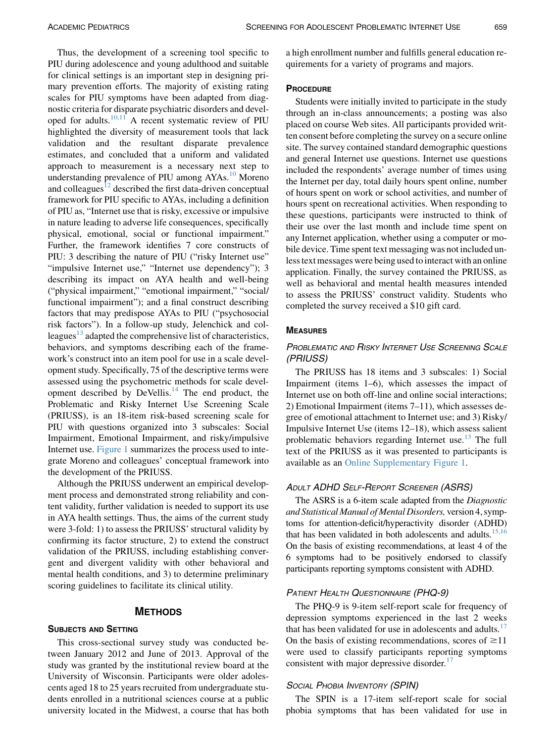Thus, the development of a screening tool specific to PIU during adolescence and young adulthood and suitable for clinical settings is an important step in designing primary prevention efforts. The majority of existing rating scales for PIU symptoms have been adapted from diagnostic criteria for disparate psychiatric disorders and devel-oped for adults.<sup>[10,11](#page-6-0)</sup> A recent systematic review of PIU highlighted the diversity of measurement tools that lack validation and the resultant disparate prevalence estimates, and concluded that a uniform and validated approach to measurement is a necessary next step to understanding prevalence of PIU among AYAs.<sup>[10](#page-6-0)</sup> Moreno and colleagues $12$  described the first data-driven conceptual framework for PIU specific to AYAs, including a definition of PIU as, "Internet use that is risky, excessive or impulsive in nature leading to adverse life consequences, specifically physical, emotional, social or functional impairment." Further, the framework identifies 7 core constructs of PIU: 3 describing the nature of PIU ("risky Internet use" "impulsive Internet use," "Internet use dependency"); 3 describing its impact on AYA health and well-being ("physical impairment," "emotional impairment," "social/ functional impairment"); and a final construct describing factors that may predispose AYAs to PIU ("psychosocial risk factors"). In a follow-up study, Jelenchick and colleagues<sup>13</sup> adapted the comprehensive list of characteristics, behaviors, and symptoms describing each of the framework's construct into an item pool for use in a scale development study. Specifically, 75 of the descriptive terms were assessed using the psychometric methods for scale development described by  $DeVellis.<sup>14</sup>$  $DeVellis.<sup>14</sup>$  $DeVellis.<sup>14</sup>$  The end product, the Problematic and Risky Internet Use Screening Scale (PRIUSS), is an 18-item risk-based screening scale for PIU with questions organized into 3 subscales: Social Impairment, Emotional Impairment, and risky/impulsive Internet use. [Figure 1](#page-2-0) summarizes the process used to integrate Moreno and colleagues' conceptual framework into the development of the PRIUSS.

Although the PRIUSS underwent an empirical development process and demonstrated strong reliability and content validity, further validation is needed to support its use in AYA health settings. Thus, the aims of the current study were 3-fold: 1) to assess the PRIUSS' structural validity by confirming its factor structure, 2) to extend the construct validation of the PRIUSS, including establishing convergent and divergent validity with other behavioral and mental health conditions, and 3) to determine preliminary scoring guidelines to facilitate its clinical utility.

### **METHODS** METHODS

This cross-sectional survey study was conducted between January 2012 and June of 2013. Approval of the study was granted by the institutional review board at the University of Wisconsin. Participants were older adolescents aged 18 to 25 years recruited from undergraduate students enrolled in a nutritional sciences course at a public university located in the Midwest, a course that has both

a high enrollment number and fulfills general education requirements for a variety of programs and majors.

Students were initially invited to participate in the study through an in-class announcements; a posting was also placed on course Web sites. All participants provided written consent before completing the survey on a secure online site. The survey contained standard demographic questions and general Internet use questions. Internet use questions included the respondents' average number of times using the Internet per day, total daily hours spent online, number of hours spent on work or school activities, and number of hours spent on recreational activities. When responding to these questions, participants were instructed to think of their use over the last month and include time spent on any Internet application, whether using a computer or mobile device. Time spent text messaging was not included unless text messages were being used to interact with an online application. Finally, the survey contained the PRIUSS, as well as behavioral and mental health measures intended to assess the PRIUSS' construct validity. Students who completed the survey received a \$10 gift card.

# PROBLEMATIC AND RISKY INTERNET USE SCREENING SCALE (PRIUSS)

The PRIUSS has 18 items and 3 subscales: 1) Social Impairment (items 1–6), which assesses the impact of Internet use on both off-line and online social interactions; 2) Emotional Impairment (items 7–11), which assesses degree of emotional attachment to Internet use; and 3) Risky/ Impulsive Internet Use (items 12–18), which assess salient problematic behaviors regarding Internet use. $13$  The full text of the PRIUSS as it was presented to participants is available as an Online Supplementary Figure 1.

## ADULT ADHD SELF-REPORT SCREENER (ASRS)

The ASRS is a 6-item scale adapted from the Diagnostic and Statistical Manual of Mental Disorders, version 4, symptoms for attention-deficit/hyperactivity disorder (ADHD) that has been validated in both adolescents and adults. $15,16$ On the basis of existing recommendations, at least 4 of the 6 symptoms had to be positively endorsed to classify participants reporting symptoms consistent with ADHD.

# **PATIENT HEALTH QUESTIONNAIRE (PHQ-9)**

The PHQ-9 is 9-item self-report scale for frequency of depression symptoms experienced in the last 2 weeks that has been validated for use in adolescents and adults.<sup>[17](#page-6-0)</sup> On the basis of existing recommendations, scores of  $\geq 11$ were used to classify participants reporting symptoms consistent with major depressive disorder.<sup>[17](#page-6-0)</sup>

## SOCIAL PHOBIA INVENTORY (SPIN)

The SPIN is a 17-item self-report scale for social phobia symptoms that has been validated for use in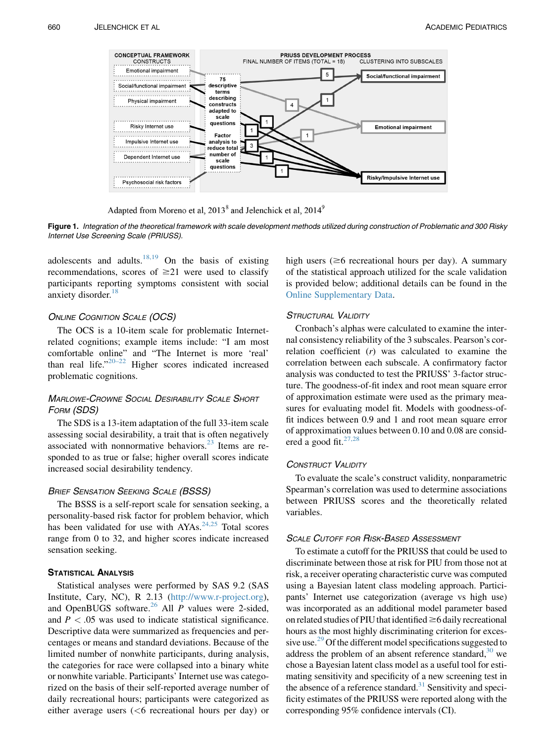<span id="page-2-0"></span>

Adapted from Moreno et al, 2013<sup>8</sup> and Jelenchick et al, 2014<sup>9</sup>

Figure 1. Integration of the theoretical framework with scale development methods utilized during construction of Problematic and 300 Risky Internet Use Screening Scale (PRIUSS).

adolescents and adults. $18,19$  On the basis of existing recommendations, scores of  $\geq 21$  were used to classify participants reporting symptoms consistent with social anxiety disorder.<sup>[18](#page-6-0)</sup>

### **ONLINE COGNITION SCALE (OCS)**

The OCS is a 10-item scale for problematic Internetrelated cognitions; example items include: "I am most comfortable online" and "The Internet is more 'real' than real life."[20–22](#page-6-0) Higher scores indicated increased problematic cognitions.

# **MARLOWE-CROWNE SOCIAL DESIRABILITY SCALE SHORT** FORM (SDS)

The SDS is a 13-item adaptation of the full 33-item scale assessing social desirability, a trait that is often negatively associated with nonnormative behaviors.<sup>23</sup> Items are responded to as true or false; higher overall scores indicate increased social desirability tendency.

### **BRIEF SENSATION SEEKING SCALE (BSSS)**

The BSSS is a self-report scale for sensation seeking, a personality-based risk factor for problem behavior, which has been validated for use with  $AYAs.<sup>24,25</sup>$  $AYAs.<sup>24,25</sup>$  $AYAs.<sup>24,25</sup>$  Total scores range from 0 to 32, and higher scores indicate increased sensation seeking.

STATISTICAL ANALYSIS<br>Statistical analyses were performed by SAS 9.2 (SAS Institute, Cary, NC), R 2.13 [\(http://www.r-project.org\)](http://www.r-project.org), and OpenBUGS software. $^{26}$  $^{26}$  $^{26}$  All P values were 2-sided, and  $P < .05$  was used to indicate statistical significance. Descriptive data were summarized as frequencies and percentages or means and standard deviations. Because of the limited number of nonwhite participants, during analysis, the categories for race were collapsed into a binary white or nonwhite variable. Participants' Internet use was categorized on the basis of their self-reported average number of daily recreational hours; participants were categorized as either average users (<6 recreational hours per day) or

high users  $(\geq 6$  recreational hours per day). A summary of the statistical approach utilized for the scale validation is provided below; additional details can be found in the Online Supplementary Data.

### STRUCTURAL VALIDITY

Cronbach's alphas were calculated to examine the internal consistency reliability of the 3 subscales. Pearson's correlation coefficient  $(r)$  was calculated to examine the correlation between each subscale. A confirmatory factor analysis was conducted to test the PRIUSS' 3-factor structure. The goodness-of-fit index and root mean square error of approximation estimate were used as the primary measures for evaluating model fit. Models with goodness-offit indices between 0.9 and 1 and root mean square error of approximation values between 0.10 and 0.08 are considered a good fit. $27,28$ 

### CONSTRUCT VALIDITY

To evaluate the scale's construct validity, nonparametric Spearman's correlation was used to determine associations between PRIUSS scores and the theoretically related variables.

# **SCALE CUTOFF FOR RISK-BASED ASSESSMENT**

To estimate a cutoff for the PRIUSS that could be used to discriminate between those at risk for PIU from those not at risk, a receiver operating characteristic curve was computed using a Bayesian latent class modeling approach. Participants' Internet use categorization (average vs high use) was incorporated as an additional model parameter based on related studies of PIU that identified  $\geq 6$  daily recreational hours as the most highly discriminating criterion for excessive use.<sup>29</sup> Of the different model specifications suggested to address the problem of an absent reference standard, $30$  we chose a Bayesian latent class model as a useful tool for estimating sensitivity and specificity of a new screening test in the absence of a reference standard. $31$  Sensitivity and specificity estimates of the PRIUSS were reported along with the corresponding 95% confidence intervals (CI).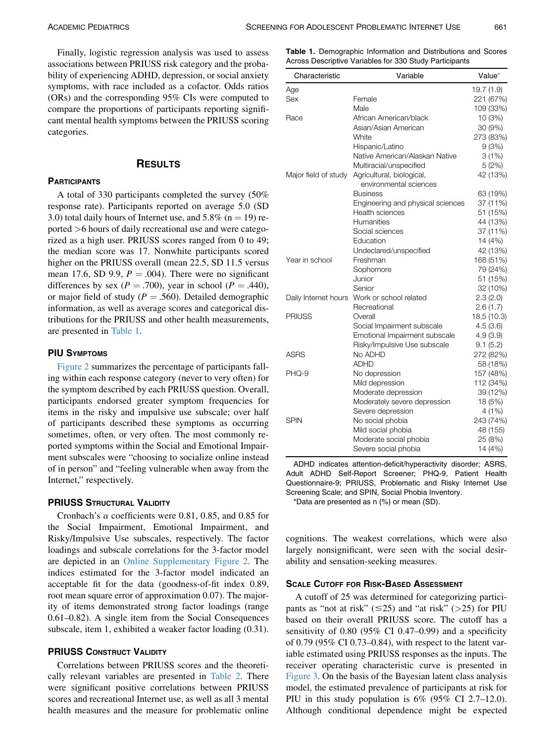Finally, logistic regression analysis was used to assess associations between PRIUSS risk category and the probability of experiencing ADHD, depression, or social anxiety symptoms, with race included as a cofactor. Odds ratios (ORs) and the corresponding 95% CIs were computed to compare the proportions of participants reporting significant mental health symptoms between the PRIUSS scoring categories.

# RESULTS

A total of 330 participants completed the survey  $(50\%$ response rate). Participants reported on average 5.0 (SD 3.0) total daily hours of Internet use, and  $5.8\%$  (n = 19) reported >6 hours of daily recreational use and were categorized as a high user. PRIUSS scores ranged from 0 to 49; the median score was 17. Nonwhite participants scored higher on the PRIUSS overall (mean 22.5, SD 11.5 versus mean 17.6, SD 9.9,  $P = .004$ ). There were no significant differences by sex ( $P = .700$ ), year in school ( $P = .440$ ), or major field of study ( $P = .560$ ). Detailed demographic information, as well as average scores and categorical distributions for the PRIUSS and other health measurements, are presented in Table 1.

### **PIU SYMPTOMS**

[Figure 2](#page-4-0) summarizes the percentage of participants falling within each response category (never to very often) for the symptom described by each PRIUSS question. Overall, participants endorsed greater symptom frequencies for items in the risky and impulsive use subscale; over half of participants described these symptoms as occurring sometimes, often, or very often. The most commonly reported symptoms within the Social and Emotional Impairment subscales were "choosing to socialize online instead of in person" and "feeling vulnerable when away from the Internet," respectively.

Cronbach's  $\alpha$  coefficients were 0.81, 0.85, and 0.85 for the Social Impairment, Emotional Impairment, and Risky/Impulsive Use subscales, respectively. The factor loadings and subscale correlations for the 3-factor model are depicted in an Online Supplementary Figure 2. The indices estimated for the 3-factor model indicated an acceptable fit for the data (goodness-of-fit index 0.89, root mean square error of approximation 0.07). The majority of items demonstrated strong factor loadings (range 0.61–0.82). A single item from the Social Consequences subscale, item 1, exhibited a weaker factor loading (0.31).

### **PRIUSS CONSTRUCT VALIDITY**

Correlations between PRIUSS scores and the theoretically relevant variables are presented in [Table 2](#page-5-0). There were significant positive correlations between PRIUSS scores and recreational Internet use, as well as all 3 mental health measures and the measure for problematic online

Table 1. Demographic Information and Distributions and Scores Across Descriptive Variables for 330 Study Participants

| Characteristic       | Variable                                            |             |  |  |
|----------------------|-----------------------------------------------------|-------------|--|--|
| Age                  |                                                     | 19.7 (1.9)  |  |  |
| Sex                  | Female                                              | 221 (67%)   |  |  |
|                      | Male                                                | 109 (33%)   |  |  |
| Race                 | African American/black                              | 10 (3%)     |  |  |
|                      | Asian/Asian American                                | 30 (9%)     |  |  |
|                      | White                                               | 273 (83%)   |  |  |
|                      | Hispanic/Latino                                     | 9(3%)       |  |  |
|                      | Native American/Alaskan Native                      | 3(1%)       |  |  |
|                      | Multiracial/unspecified                             | 5(2%)       |  |  |
| Major field of study | Agricultural, biological,<br>environmental sciences | 42 (13%)    |  |  |
|                      | <b>Business</b>                                     | 63 (19%)    |  |  |
|                      | Engineering and physical sciences                   | 37 (11%)    |  |  |
|                      | <b>Health sciences</b>                              | 51 (15%)    |  |  |
|                      | <b>Humanities</b>                                   | 44 (13%)    |  |  |
|                      | Social sciences                                     | 37 (11%)    |  |  |
|                      | Education                                           | 14 (4%)     |  |  |
|                      | Undeclared/unspecified                              | 42 (13%)    |  |  |
| Year in school       | Freshman                                            | 168 (51%)   |  |  |
|                      | Sophomore                                           | 79 (24%)    |  |  |
|                      | Junior                                              | 51 (15%)    |  |  |
|                      | Senior                                              | 32 (10%)    |  |  |
|                      | Daily Internet hours Work or school related         | 2.3(2.0)    |  |  |
|                      | Recreational                                        | 2.6(1.7)    |  |  |
| <b>PRIUSS</b>        | Overall                                             | 18.5 (10.3) |  |  |
|                      | Social Impairment subscale                          | 4.5(3.6)    |  |  |
|                      | Emotional Impairment subscale                       | 4.9(3.9)    |  |  |
|                      | Risky/Impulsive Use subscale                        | 9.1(5.2)    |  |  |
| ASRS                 | No ADHD                                             | 272 (82%)   |  |  |
|                      | <b>ADHD</b>                                         | 58 (18%)    |  |  |
| PHQ-9                | No depression                                       | 157 (48%)   |  |  |
|                      | Mild depression                                     | 112 (34%)   |  |  |
|                      | Moderate depression                                 | 39 (12%)    |  |  |
|                      | Moderately severe depression                        | 18 (5%)     |  |  |
|                      | Severe depression                                   | 4 (1%)      |  |  |
| <b>SPIN</b>          | No social phobia                                    | 243 (74%)   |  |  |
|                      | Mild social phobia                                  | 48 (155)    |  |  |
|                      | Moderate social phobia                              | 25 (8%)     |  |  |
|                      | Severe social phobia                                | 14 (4%)     |  |  |

ADHD indicates attention-deficit/hyperactivity disorder; ASRS, Adult ADHD Self-Report Screener; PHQ-9, Patient Health Questionnaire-9; PRIUSS, Problematic and Risky Internet Use Screening Scale; and SPIN, Social Phobia Inventory. \*Data are presented as n (%) or mean (SD).

cognitions. The weakest correlations, which were also largely nonsignificant, were seen with the social desir-

ability and sensation-seeking measures.

A cutoff of 25 was determined for categorizing participants as "not at risk" ( $\leq$ 25) and "at risk" ( $>$ 25) for PIU based on their overall PRIUSS score. The cutoff has a sensitivity of  $0.80$  (95% CI 0.47–0.99) and a specificity of 0.79 (95% CI 0.73–0.84), with respect to the latent variable estimated using PRIUSS responses as the inputs. The receiver operating characteristic curve is presented in [Figure 3.](#page-5-0) On the basis of the Bayesian latent class analysis model, the estimated prevalence of participants at risk for PIU in this study population is 6% (95% CI 2.7–12.0). Although conditional dependence might be expected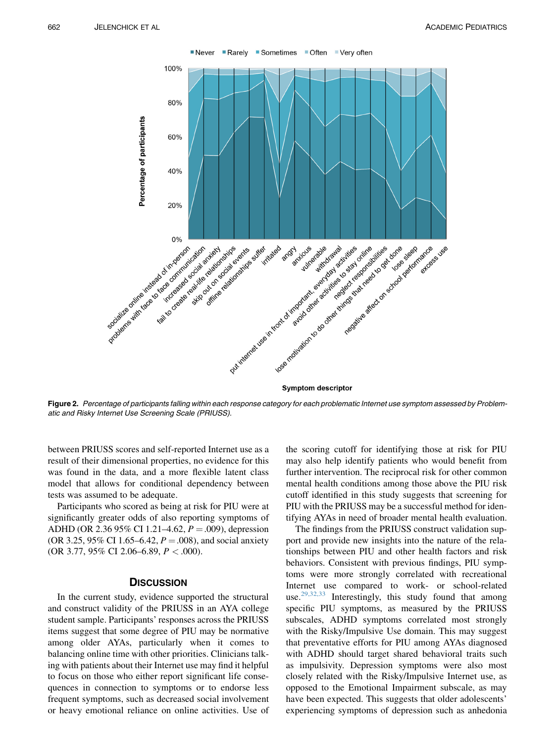<span id="page-4-0"></span>

Figure 2. Percentage of participants falling within each response category for each problematic Internet use symptom assessed by Problematic and Risky Internet Use Screening Scale (PRIUSS).

between PRIUSS scores and self-reported Internet use as a result of their dimensional properties, no evidence for this was found in the data, and a more flexible latent class model that allows for conditional dependency between tests was assumed to be adequate.

Participants who scored as being at risk for PIU were at significantly greater odds of also reporting symptoms of ADHD (OR 2.36 95% CI 1.21–4.62,  $P = .009$ ), depression (OR 3.25, 95% CI 1.65–6.42,  $P = .008$ ), and social anxiety (OR 3.77, 95% CI 2.06–6.89, P < .000).

### **DISCUSSION**

In the current study, evidence supported the structural and construct validity of the PRIUSS in an AYA college student sample. Participants' responses across the PRIUSS items suggest that some degree of PIU may be normative among older AYAs, particularly when it comes to balancing online time with other priorities. Clinicians talking with patients about their Internet use may find it helpful to focus on those who either report significant life consequences in connection to symptoms or to endorse less frequent symptoms, such as decreased social involvement or heavy emotional reliance on online activities. Use of

the scoring cutoff for identifying those at risk for PIU may also help identify patients who would benefit from further intervention. The reciprocal risk for other common mental health conditions among those above the PIU risk cutoff identified in this study suggests that screening for PIU with the PRIUSS may be a successful method for identifying AYAs in need of broader mental health evaluation.

The findings from the PRIUSS construct validation support and provide new insights into the nature of the relationships between PIU and other health factors and risk behaviors. Consistent with previous findings, PIU symptoms were more strongly correlated with recreational Internet use compared to work- or school-related use.[29,32,33](#page-7-0) Interestingly, this study found that among specific PIU symptoms, as measured by the PRIUSS subscales, ADHD symptoms correlated most strongly with the Risky/Impulsive Use domain. This may suggest that preventative efforts for PIU among AYAs diagnosed with ADHD should target shared behavioral traits such as impulsivity. Depression symptoms were also most closely related with the Risky/Impulsive Internet use, as opposed to the Emotional Impairment subscale, as may have been expected. This suggests that older adolescents' experiencing symptoms of depression such as anhedonia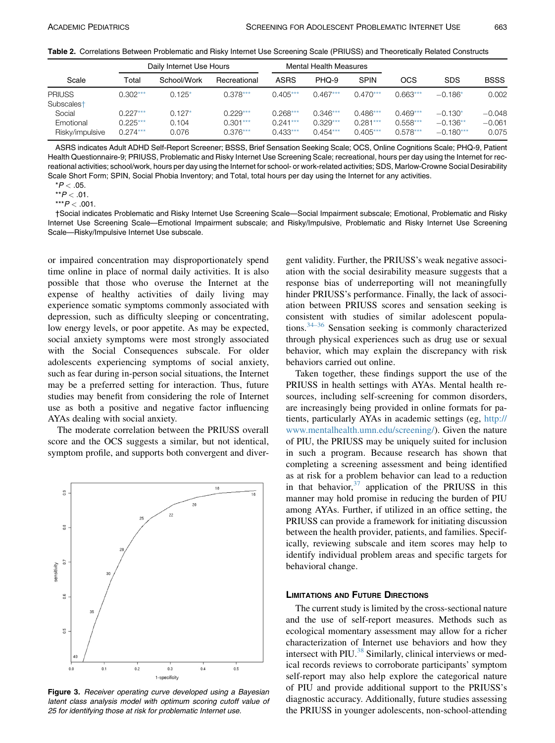<span id="page-5-0"></span>Table 2. Correlations Between Problematic and Risky Internet Use Screening Scale (PRIUSS) and Theoretically Related Constructs

| Scale                  | Daily Internet Use Hours |             | <b>Mental Health Measures</b> |             |            |             |            |             |             |
|------------------------|--------------------------|-------------|-------------------------------|-------------|------------|-------------|------------|-------------|-------------|
|                        | Total                    | School/Work | Recreational                  | <b>ASRS</b> | PHQ-9      | <b>SPIN</b> | OCS        | <b>SDS</b>  | <b>BSSS</b> |
| <b>PRIUSS</b>          | $0.302***$               | $0.125*$    | $0.378***$                    | $0.405***$  | $0.467***$ | $0.470***$  | $0.663***$ | $-0.186*$   | 0.002       |
| Subscales <sup>+</sup> |                          |             |                               |             |            |             |            |             |             |
| Social                 | $0.227***$               | $0.127*$    | $0.229***$                    | $0.268***$  | $0.346***$ | $0.486***$  | $0.469***$ | $-0.130*$   | $-0.048$    |
| Emotional              | $0.225***$               | 0.104       | $0.301***$                    | $0.241***$  | $0.329***$ | $0.281***$  | $0.558***$ | $-0.136**$  | $-0.061$    |
| Risky/impulsive        | $0.274***$               | 0.076       | $0.376***$                    | $0.433***$  | $0.454***$ | $0.405***$  | $0.578***$ | $-0.180***$ | 0.075       |

ASRS indicates Adult ADHD Self-Report Screener; BSSS, Brief Sensation Seeking Scale; OCS, Online Cognitions Scale; PHQ-9, Patient Health Questionnaire-9; PRIUSS, Problematic and Risky Internet Use Screening Scale; recreational, hours per day using the Internet for recreational activities; school/work, hours per day using the Internet for school- or work-related activities; SDS, Marlow-Crowne Social Desirability Scale Short Form; SPIN, Social Phobia Inventory; and Total, total hours per day using the Internet for any activities.

 $*P < .05$ .

\*\* $P < .01$ .

 $***P < .001$ .

†Social indicates Problematic and Risky Internet Use Screening Scale—Social Impairment subscale; Emotional, Problematic and Risky Internet Use Screening Scale—Emotional Impairment subscale; and Risky/Impulsive, Problematic and Risky Internet Use Screening Scale—Risky/Impulsive Internet Use subscale.

or impaired concentration may disproportionately spend time online in place of normal daily activities. It is also possible that those who overuse the Internet at the expense of healthy activities of daily living may experience somatic symptoms commonly associated with depression, such as difficulty sleeping or concentrating, low energy levels, or poor appetite. As may be expected, social anxiety symptoms were most strongly associated with the Social Consequences subscale. For older adolescents experiencing symptoms of social anxiety, such as fear during in-person social situations, the Internet may be a preferred setting for interaction. Thus, future studies may benefit from considering the role of Internet use as both a positive and negative factor influencing AYAs dealing with social anxiety.

The moderate correlation between the PRIUSS overall score and the OCS suggests a similar, but not identical, symptom profile, and supports both convergent and diver-



Figure 3. Receiver operating curve developed using a Bayesian latent class analysis model with optimum scoring cutoff value of 25 for identifying those at risk for problematic Internet use.

gent validity. Further, the PRIUSS's weak negative association with the social desirability measure suggests that a response bias of underreporting will not meaningfully hinder PRIUSS's performance. Finally, the lack of association between PRIUSS scores and sensation seeking is consistent with studies of similar adolescent populations.[34–36](#page-7-0) Sensation seeking is commonly characterized through physical experiences such as drug use or sexual behavior, which may explain the discrepancy with risk behaviors carried out online.

Taken together, these findings support the use of the PRIUSS in health settings with AYAs. Mental health resources, including self-screening for common disorders, are increasingly being provided in online formats for patients, particularly AYAs in academic settings (eg, [http://](http://www.mentalhealth.umn.edu/screening/) [www.mentalhealth.umn.edu/screening/\)](http://www.mentalhealth.umn.edu/screening/). Given the nature of PIU, the PRIUSS may be uniquely suited for inclusion in such a program. Because research has shown that completing a screening assessment and being identified as at risk for a problem behavior can lead to a reduction in that behavior,  $37$  application of the PRIUSS in this manner may hold promise in reducing the burden of PIU among AYAs. Further, if utilized in an office setting, the PRIUSS can provide a framework for initiating discussion between the health provider, patients, and families. Specifically, reviewing subscale and item scores may help to identify individual problem areas and specific targets for behavioral change.

The current study is limited by the cross-sectional nature and the use of self-report measures. Methods such as ecological momentary assessment may allow for a richer characterization of Internet use behaviors and how they intersect with PIU. $^{38}$  $^{38}$  $^{38}$  Similarly, clinical interviews or medical records reviews to corroborate participants' symptom self-report may also help explore the categorical nature of PIU and provide additional support to the PRIUSS's diagnostic accuracy. Additionally, future studies assessing the PRIUSS in younger adolescents, non-school-attending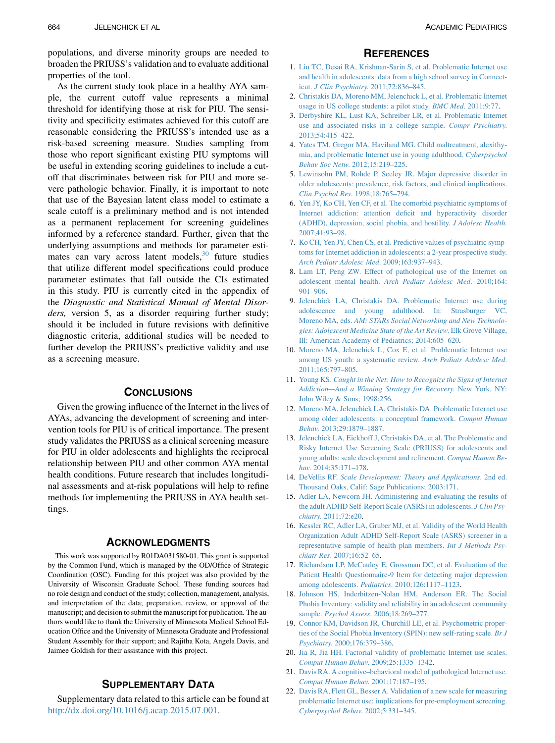<span id="page-6-0"></span>populations, and diverse minority groups are needed to broaden the PRIUSS's validation and to evaluate additional properties of the tool.

As the current study took place in a healthy AYA sample, the current cutoff value represents a minimal threshold for identifying those at risk for PIU. The sensitivity and specificity estimates achieved for this cutoff are reasonable considering the PRIUSS's intended use as a risk-based screening measure. Studies sampling from those who report significant existing PIU symptoms will be useful in extending scoring guidelines to include a cutoff that discriminates between risk for PIU and more severe pathologic behavior. Finally, it is important to note that use of the Bayesian latent class model to estimate a scale cutoff is a preliminary method and is not intended as a permanent replacement for screening guidelines informed by a reference standard. Further, given that the underlying assumptions and methods for parameter estimates can vary across latent models, $30$  future studies that utilize different model specifications could produce parameter estimates that fall outside the CIs estimated in this study. PIU is currently cited in the appendix of the Diagnostic and Statistical Manual of Mental Disorders, version 5, as a disorder requiring further study; should it be included in future revisions with definitive diagnostic criteria, additional studies will be needed to further develop the PRIUSS's predictive validity and use as a screening measure.

Given the growing influence of the Internet in the lives of AYAs, advancing the development of screening and intervention tools for PIU is of critical importance. The present study validates the PRIUSS as a clinical screening measure for PIU in older adolescents and highlights the reciprocal relationship between PIU and other common AYA mental health conditions. Future research that includes longitudinal assessments and at-risk populations will help to refine methods for implementing the PRIUSS in AYA health settings.

# **ACKNOWLEDGMENTS**

This work was supported by R01DA031580-01. This grant is supported by the Common Fund, which is managed by the OD/Office of Strategic Coordination (OSC). Funding for this project was also provided by the University of Wisconsin Graduate School. These funding sources had no role design and conduct of the study; collection, management, analysis, and interpretation of the data; preparation, review, or approval of the manuscript; and decision to submit the manuscript for publication. The authors would like to thank the University of Minnesota Medical School Education Office and the University of Minnesota Graduate and Professional Student Assembly for their support; and Rajitha Kota, Angela Davis, and Jaimee Goldish for their assistance with this project.

Supplementary data related to this article can be found at [http://dx.doi.org/10.1016/j.acap.2015.07.001.](http://dx.doi.org/10.1016/j.acap.2015.07.001)

# **REFERENCES**

- 1. [Liu TC, Desai RA, Krishnan-Sarin S, et al. Problematic Internet use](http://refhub.elsevier.com/S1876-2859(15)00222-3/sref1) [and health in adolescents: data from a high school survey in Connect](http://refhub.elsevier.com/S1876-2859(15)00222-3/sref1)icut. J Clin Psychiatry[. 2011;72:836–845](http://refhub.elsevier.com/S1876-2859(15)00222-3/sref1).
- 2. [Christakis DA, Moreno MM, Jelenchick L, et al. Problematic Internet](http://refhub.elsevier.com/S1876-2859(15)00222-3/sref2) [usage in US college students: a pilot study.](http://refhub.elsevier.com/S1876-2859(15)00222-3/sref2) BMC Med. 2011;9:77.
- 3. [Derbyshire KL, Lust KA, Schreiber LR, et al. Problematic Internet](http://refhub.elsevier.com/S1876-2859(15)00222-3/sref3) [use and associated risks in a college sample.](http://refhub.elsevier.com/S1876-2859(15)00222-3/sref3) Compr Psychiatry. [2013;54:415–422](http://refhub.elsevier.com/S1876-2859(15)00222-3/sref3).
- 4. [Yates TM, Gregor MA, Haviland MG. Child maltreatment, alexithy](http://refhub.elsevier.com/S1876-2859(15)00222-3/sref4)[mia, and problematic Internet use in young adulthood.](http://refhub.elsevier.com/S1876-2859(15)00222-3/sref4) Cyberpsychol Behav Soc Netw[. 2012;15:219–225](http://refhub.elsevier.com/S1876-2859(15)00222-3/sref4).
- 5. [Lewinsohn PM, Rohde P, Seeley JR. Major depressive disorder in](http://refhub.elsevier.com/S1876-2859(15)00222-3/sref5) [older adolescents: prevalence, risk factors, and clinical implications.](http://refhub.elsevier.com/S1876-2859(15)00222-3/sref5) Clin Psychol Rev[. 1998;18:765–794](http://refhub.elsevier.com/S1876-2859(15)00222-3/sref5).
- 6. [Yen JY, Ko CH, Yen CF, et al. The comorbid psychiatric symptoms of](http://refhub.elsevier.com/S1876-2859(15)00222-3/sref6) [Internet addiction: attention deficit and hyperactivity disorder](http://refhub.elsevier.com/S1876-2859(15)00222-3/sref6) [\(ADHD\), depression, social phobia, and hostility.](http://refhub.elsevier.com/S1876-2859(15)00222-3/sref6) J Adolesc Health. [2007;41:93–98](http://refhub.elsevier.com/S1876-2859(15)00222-3/sref6).
- 7. [Ko CH, Yen JY, Chen CS, et al. Predictive values of psychiatric symp](http://refhub.elsevier.com/S1876-2859(15)00222-3/sref7)[toms for Internet addiction in adolescents: a 2-year prospective study.](http://refhub.elsevier.com/S1876-2859(15)00222-3/sref7) [Arch Pediatr Adolesc Med](http://refhub.elsevier.com/S1876-2859(15)00222-3/sref7). 2009;163:937–943.
- 8. [Lam LT, Peng ZW. Effect of pathological use of the Internet on](http://refhub.elsevier.com/S1876-2859(15)00222-3/sref8) adolescent mental health. [Arch Pediatr Adolesc Med](http://refhub.elsevier.com/S1876-2859(15)00222-3/sref8). 2010;164: [901–906.](http://refhub.elsevier.com/S1876-2859(15)00222-3/sref8)
- 9. [Jelenchick LA, Christakis DA. Problematic Internet use during](http://refhub.elsevier.com/S1876-2859(15)00222-3/sref9) [adolescence and young adulthood. In: Strasburger VC,](http://refhub.elsevier.com/S1876-2859(15)00222-3/sref9) Moreno MA, eds. [AM: STARs Social Networking and New Technolo](http://refhub.elsevier.com/S1876-2859(15)00222-3/sref9)[gies: Adolescent Medicine State of the Art Review](http://refhub.elsevier.com/S1876-2859(15)00222-3/sref9). Elk Grove Village, [Ill: American Academy of Pediatrics; 2014:605–620.](http://refhub.elsevier.com/S1876-2859(15)00222-3/sref9)
- 10. [Moreno MA, Jelenchick L, Cox E, et al. Problematic Internet use](http://refhub.elsevier.com/S1876-2859(15)00222-3/sref10) [among US youth: a systematic review.](http://refhub.elsevier.com/S1876-2859(15)00222-3/sref10) Arch Pediatr Adolesc Med. [2011;165:797–805](http://refhub.elsevier.com/S1876-2859(15)00222-3/sref10).
- 11. Young KS. [Caught in the Net: How to Recognize the Signs of Internet](http://refhub.elsevier.com/S1876-2859(15)00222-3/sref11) [Addiction—And a Winning Strategy for Recovery](http://refhub.elsevier.com/S1876-2859(15)00222-3/sref11). New York, NY: [John Wiley & Sons; 1998:256](http://refhub.elsevier.com/S1876-2859(15)00222-3/sref11).
- 12. [Moreno MA, Jelenchick LA, Christakis DA. Problematic Internet use](http://refhub.elsevier.com/S1876-2859(15)00222-3/sref12) [among older adolescents: a conceptual framework.](http://refhub.elsevier.com/S1876-2859(15)00222-3/sref12) Comput Human Behav[. 2013;29:1879–1887.](http://refhub.elsevier.com/S1876-2859(15)00222-3/sref12)
- 13. [Jelenchick LA, Eickhoff J, Christakis DA, et al. The Problematic and](http://refhub.elsevier.com/S1876-2859(15)00222-3/sref13) [Risky Internet Use Screening Scale \(PRIUSS\) for adolescents and](http://refhub.elsevier.com/S1876-2859(15)00222-3/sref13) [young adults: scale development and refinement.](http://refhub.elsevier.com/S1876-2859(15)00222-3/sref13) Comput Human Behav[. 2014;35:171–178.](http://refhub.elsevier.com/S1876-2859(15)00222-3/sref13)
- 14. DeVellis RF. [Scale Development: Theory and Applications](http://refhub.elsevier.com/S1876-2859(15)00222-3/sref14). 2nd ed. [Thousand Oaks, Calif: Sage Publications; 2003:171](http://refhub.elsevier.com/S1876-2859(15)00222-3/sref14).
- 15. [Adler LA, Newcorn JH. Administering and evaluating the results of](http://refhub.elsevier.com/S1876-2859(15)00222-3/sref15) [the adult ADHD Self-Report Scale \(ASRS\) in adolescents.](http://refhub.elsevier.com/S1876-2859(15)00222-3/sref15) J Clin Psychiatry[. 2011;72:e20](http://refhub.elsevier.com/S1876-2859(15)00222-3/sref15).
- 16. [Kessler RC, Adler LA, Gruber MJ, et al. Validity of the World Health](http://refhub.elsevier.com/S1876-2859(15)00222-3/sref16) [Organization Adult ADHD Self-Report Scale \(ASRS\) screener in a](http://refhub.elsevier.com/S1876-2859(15)00222-3/sref16) [representative sample of health plan members.](http://refhub.elsevier.com/S1876-2859(15)00222-3/sref16) Int J Methods Psychiatr Res[. 2007;16:52–65](http://refhub.elsevier.com/S1876-2859(15)00222-3/sref16).
- 17. [Richardson LP, McCauley E, Grossman DC, et al. Evaluation of the](http://refhub.elsevier.com/S1876-2859(15)00222-3/sref17) [Patient Health Questionnaire-9 Item for detecting major depression](http://refhub.elsevier.com/S1876-2859(15)00222-3/sref17) among adolescents. Pediatrics[. 2010;126:1117–1123.](http://refhub.elsevier.com/S1876-2859(15)00222-3/sref17)
- 18. [Johnson HS, Inderbitzen-Nolan HM, Anderson ER. The Social](http://refhub.elsevier.com/S1876-2859(15)00222-3/sref18) [Phobia Inventory: validity and reliability in an adolescent community](http://refhub.elsevier.com/S1876-2859(15)00222-3/sref18) sample. Psychol Assess[. 2006;18:269–277](http://refhub.elsevier.com/S1876-2859(15)00222-3/sref18).
- 19. [Connor KM, Davidson JR, Churchill LE, et al. Psychometric proper](http://refhub.elsevier.com/S1876-2859(15)00222-3/sref19)[ties of the Social Phobia Inventory \(SPIN\): new self-rating scale.](http://refhub.elsevier.com/S1876-2859(15)00222-3/sref19) Br J Psychiatry[. 2000;176:379–386](http://refhub.elsevier.com/S1876-2859(15)00222-3/sref19).
- 20. [Jia R, Jia HH. Factorial validity of problematic Internet use scales.](http://refhub.elsevier.com/S1876-2859(15)00222-3/sref20) [Comput Human Behav](http://refhub.elsevier.com/S1876-2859(15)00222-3/sref20). 2009;25:1335–1342.
- 21. [Davis RA. A cognitive–behavioral model of pathological Internet use.](http://refhub.elsevier.com/S1876-2859(15)00222-3/sref21) [Comput Human Behav](http://refhub.elsevier.com/S1876-2859(15)00222-3/sref21). 2001;17:187–195.
- 22. [Davis RA, Flett GL, Besser A. Validation of a new scale for measuring](http://refhub.elsevier.com/S1876-2859(15)00222-3/sref22) [problematic Internet use: implications for pre-employment screening.](http://refhub.elsevier.com/S1876-2859(15)00222-3/sref22) [Cyberpsychol Behav](http://refhub.elsevier.com/S1876-2859(15)00222-3/sref22). 2002;5:331–345.